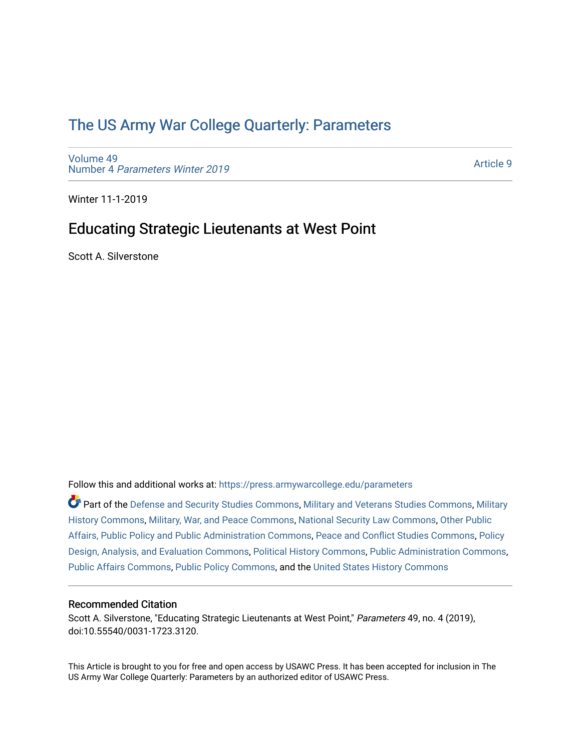# [The US Army War College Quarterly: Parameters](https://press.armywarcollege.edu/parameters)

[Volume 49](https://press.armywarcollege.edu/parameters/vol49) Number 4 [Parameters Winter 2019](https://press.armywarcollege.edu/parameters/vol49/iss4)

[Article 9](https://press.armywarcollege.edu/parameters/vol49/iss4/9) 

Winter 11-1-2019

# Educating Strategic Lieutenants at West Point

Scott A. Silverstone

Follow this and additional works at: [https://press.armywarcollege.edu/parameters](https://press.armywarcollege.edu/parameters?utm_source=press.armywarcollege.edu%2Fparameters%2Fvol49%2Fiss4%2F9&utm_medium=PDF&utm_campaign=PDFCoverPages) 

Part of the [Defense and Security Studies Commons](http://network.bepress.com/hgg/discipline/394?utm_source=press.armywarcollege.edu%2Fparameters%2Fvol49%2Fiss4%2F9&utm_medium=PDF&utm_campaign=PDFCoverPages), [Military and Veterans Studies Commons,](http://network.bepress.com/hgg/discipline/396?utm_source=press.armywarcollege.edu%2Fparameters%2Fvol49%2Fiss4%2F9&utm_medium=PDF&utm_campaign=PDFCoverPages) [Military](http://network.bepress.com/hgg/discipline/504?utm_source=press.armywarcollege.edu%2Fparameters%2Fvol49%2Fiss4%2F9&utm_medium=PDF&utm_campaign=PDFCoverPages) [History Commons](http://network.bepress.com/hgg/discipline/504?utm_source=press.armywarcollege.edu%2Fparameters%2Fvol49%2Fiss4%2F9&utm_medium=PDF&utm_campaign=PDFCoverPages), [Military, War, and Peace Commons](http://network.bepress.com/hgg/discipline/861?utm_source=press.armywarcollege.edu%2Fparameters%2Fvol49%2Fiss4%2F9&utm_medium=PDF&utm_campaign=PDFCoverPages), [National Security Law Commons,](http://network.bepress.com/hgg/discipline/1114?utm_source=press.armywarcollege.edu%2Fparameters%2Fvol49%2Fiss4%2F9&utm_medium=PDF&utm_campaign=PDFCoverPages) [Other Public](http://network.bepress.com/hgg/discipline/403?utm_source=press.armywarcollege.edu%2Fparameters%2Fvol49%2Fiss4%2F9&utm_medium=PDF&utm_campaign=PDFCoverPages) [Affairs, Public Policy and Public Administration Commons](http://network.bepress.com/hgg/discipline/403?utm_source=press.armywarcollege.edu%2Fparameters%2Fvol49%2Fiss4%2F9&utm_medium=PDF&utm_campaign=PDFCoverPages), [Peace and Conflict Studies Commons,](http://network.bepress.com/hgg/discipline/397?utm_source=press.armywarcollege.edu%2Fparameters%2Fvol49%2Fiss4%2F9&utm_medium=PDF&utm_campaign=PDFCoverPages) [Policy](http://network.bepress.com/hgg/discipline/1032?utm_source=press.armywarcollege.edu%2Fparameters%2Fvol49%2Fiss4%2F9&utm_medium=PDF&utm_campaign=PDFCoverPages)  [Design, Analysis, and Evaluation Commons,](http://network.bepress.com/hgg/discipline/1032?utm_source=press.armywarcollege.edu%2Fparameters%2Fvol49%2Fiss4%2F9&utm_medium=PDF&utm_campaign=PDFCoverPages) [Political History Commons](http://network.bepress.com/hgg/discipline/505?utm_source=press.armywarcollege.edu%2Fparameters%2Fvol49%2Fiss4%2F9&utm_medium=PDF&utm_campaign=PDFCoverPages), [Public Administration Commons,](http://network.bepress.com/hgg/discipline/398?utm_source=press.armywarcollege.edu%2Fparameters%2Fvol49%2Fiss4%2F9&utm_medium=PDF&utm_campaign=PDFCoverPages) [Public Affairs Commons](http://network.bepress.com/hgg/discipline/399?utm_source=press.armywarcollege.edu%2Fparameters%2Fvol49%2Fiss4%2F9&utm_medium=PDF&utm_campaign=PDFCoverPages), [Public Policy Commons](http://network.bepress.com/hgg/discipline/400?utm_source=press.armywarcollege.edu%2Fparameters%2Fvol49%2Fiss4%2F9&utm_medium=PDF&utm_campaign=PDFCoverPages), and the [United States History Commons](http://network.bepress.com/hgg/discipline/495?utm_source=press.armywarcollege.edu%2Fparameters%2Fvol49%2Fiss4%2F9&utm_medium=PDF&utm_campaign=PDFCoverPages) 

## Recommended Citation

Scott A. Silverstone, "Educating Strategic Lieutenants at West Point," Parameters 49, no. 4 (2019), doi:10.55540/0031-1723.3120.

This Article is brought to you for free and open access by USAWC Press. It has been accepted for inclusion in The US Army War College Quarterly: Parameters by an authorized editor of USAWC Press.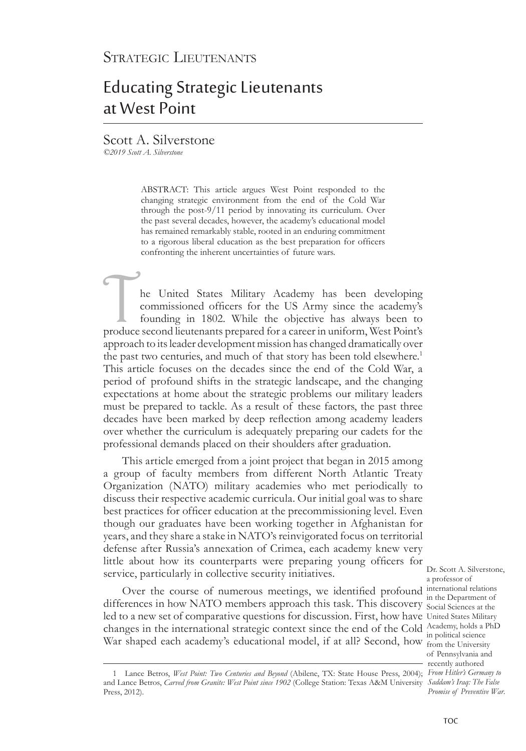# Educating Strategic Lieutenants at West Point

Scott A. Silverstone

*©2019 Scott A. Silverstone*

ABSTRACT: This article argues West Point responded to the changing strategic environment from the end of the Cold War through the post-9/11 period by innovating its curriculum. Over the past several decades, however, the academy's educational model has remained remarkably stable, rooted in an enduring commitment to a rigorous liberal education as the best preparation for officers confronting the inherent uncertainties of future wars.

The United States Military Academy has been developing<br>commissioned officers for the US Army since the academy's<br>founding in 1802. While the objective has always been to<br>produce second lieutenants prepared for a career in commissioned officers for the US Army since the academy's founding in 1802. While the objective has always been to produce second lieutenants prepared for a career in uniform, West Point's approach to its leader development mission has changed dramatically over the past two centuries, and much of that story has been told elsewhere.<sup>1</sup> This article focuses on the decades since the end of the Cold War, a period of profound shifts in the strategic landscape, and the changing expectations at home about the strategic problems our military leaders must be prepared to tackle. As a result of these factors, the past three decades have been marked by deep reflection among academy leaders over whether the curriculum is adequately preparing our cadets for the professional demands placed on their shoulders after graduation.

This article emerged from a joint project that began in 2015 among a group of faculty members from different North Atlantic Treaty Organization (NATO) military academies who met periodically to discuss their respective academic curricula. Our initial goal was to share best practices for officer education at the precommissioning level. Even though our graduates have been working together in Afghanistan for years, and they share a stake in NATO's reinvigorated focus on territorial defense after Russia's annexation of Crimea, each academy knew very little about how its counterparts were preparing young officers for service, particularly in collective security initiatives.

Over the course of numerous meetings, we identified profound international relations differences in how NATO members approach this task. This discovery  $\frac{m}{\text{Social Sciences at the}}$ led to a new set of comparative questions for discussion. First, how have United States Military changes in the international strategic context since the end of the Cold Academy, holds a PhD War shaped each academy's educational model, if at all? Second, how from the University

Dr. Scott A. Silverstone, a professor of in the Department of in political science of Pennsylvania and recently authored *Promise of Preventive War*.

*From Hitler's Germany to*  1 Lance Betros, *West Point: Two Centuries and Beyond* (Abilene, TX: State House Press, 2004); *Saddam's Iraq: The False*  and Lance Betros, *Carved from Granite: West Point since 1902* (College Station: Texas A&M University Press, 2012).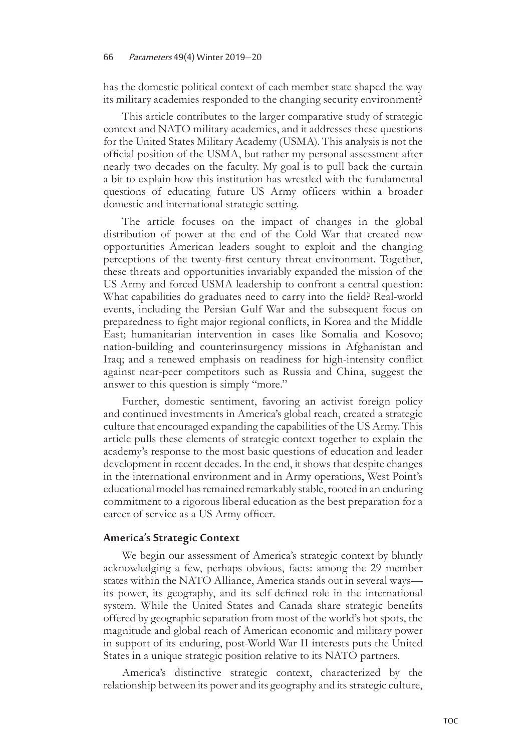has the domestic political context of each member state shaped the way its military academies responded to the changing security environment?

This article contributes to the larger comparative study of strategic context and NATO military academies, and it addresses these questions for the United States Military Academy (USMA). This analysis is not the official position of the USMA, but rather my personal assessment after nearly two decades on the faculty. My goal is to pull back the curtain a bit to explain how this institution has wrestled with the fundamental questions of educating future US Army officers within a broader domestic and international strategic setting.

The article focuses on the impact of changes in the global distribution of power at the end of the Cold War that created new opportunities American leaders sought to exploit and the changing perceptions of the twenty-first century threat environment. Together, these threats and opportunities invariably expanded the mission of the US Army and forced USMA leadership to confront a central question: What capabilities do graduates need to carry into the field? Real-world events, including the Persian Gulf War and the subsequent focus on preparedness to fight major regional conflicts, in Korea and the Middle East; humanitarian intervention in cases like Somalia and Kosovo; nation-building and counterinsurgency missions in Afghanistan and Iraq; and a renewed emphasis on readiness for high-intensity conflict against near-peer competitors such as Russia and China, suggest the answer to this question is simply "more."

Further, domestic sentiment, favoring an activist foreign policy and continued investments in America's global reach, created a strategic culture that encouraged expanding the capabilities of the US Army. This article pulls these elements of strategic context together to explain the academy's response to the most basic questions of education and leader development in recent decades. In the end, it shows that despite changes in the international environment and in Army operations, West Point's educational model has remained remarkably stable, rooted in an enduring commitment to a rigorous liberal education as the best preparation for a career of service as a US Army officer.

#### **America's Strategic Context**

We begin our assessment of America's strategic context by bluntly acknowledging a few, perhaps obvious, facts: among the 29 member states within the NATO Alliance, America stands out in several ways its power, its geography, and its self-defined role in the international system. While the United States and Canada share strategic benefits offered by geographic separation from most of the world's hot spots, the magnitude and global reach of American economic and military power in support of its enduring, post-World War II interests puts the United States in a unique strategic position relative to its NATO partners.

America's distinctive strategic context, characterized by the relationship between its power and its geography and its strategic culture,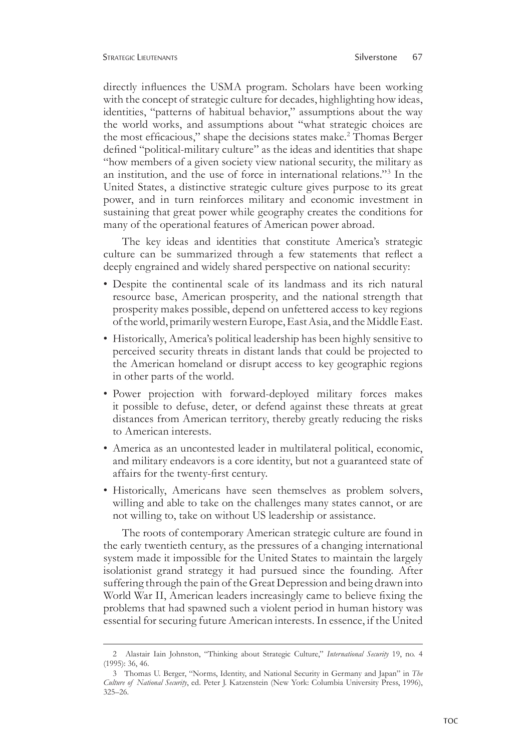directly influences the USMA program. Scholars have been working with the concept of strategic culture for decades, highlighting how ideas, identities, "patterns of habitual behavior," assumptions about the way the world works, and assumptions about "what strategic choices are the most efficacious," shape the decisions states make.<sup>2</sup> Thomas Berger defined "political-military culture" as the ideas and identities that shape "how members of a given society view national security, the military as an institution, and the use of force in international relations."3 In the United States, a distinctive strategic culture gives purpose to its great power, and in turn reinforces military and economic investment in sustaining that great power while geography creates the conditions for many of the operational features of American power abroad.

The key ideas and identities that constitute America's strategic culture can be summarized through a few statements that reflect a deeply engrained and widely shared perspective on national security:

- Despite the continental scale of its landmass and its rich natural resource base, American prosperity, and the national strength that prosperity makes possible, depend on unfettered access to key regions of the world, primarily western Europe, East Asia, and the Middle East.
- Historically, America's political leadership has been highly sensitive to perceived security threats in distant lands that could be projected to the American homeland or disrupt access to key geographic regions in other parts of the world.
- Power projection with forward-deployed military forces makes it possible to defuse, deter, or defend against these threats at great distances from American territory, thereby greatly reducing the risks to American interests.
- America as an uncontested leader in multilateral political, economic, and military endeavors is a core identity, but not a guaranteed state of affairs for the twenty-first century.
- Historically, Americans have seen themselves as problem solvers, willing and able to take on the challenges many states cannot, or are not willing to, take on without US leadership or assistance.

The roots of contemporary American strategic culture are found in the early twentieth century, as the pressures of a changing international system made it impossible for the United States to maintain the largely isolationist grand strategy it had pursued since the founding. After suffering through the pain of the Great Depression and being drawn into World War II, American leaders increasingly came to believe fixing the problems that had spawned such a violent period in human history was essential for securing future American interests. In essence, if the United

<sup>2</sup> Alastair Iain Johnston, "Thinking about Strategic Culture," *International Security* 19, no. 4 (1995): 36, 46.

<sup>3</sup> Thomas U. Berger, "Norms, Identity, and National Security in Germany and Japan" in *The Culture of National Security*, ed. Peter J. Katzenstein (New York: Columbia University Press, 1996), 325–26.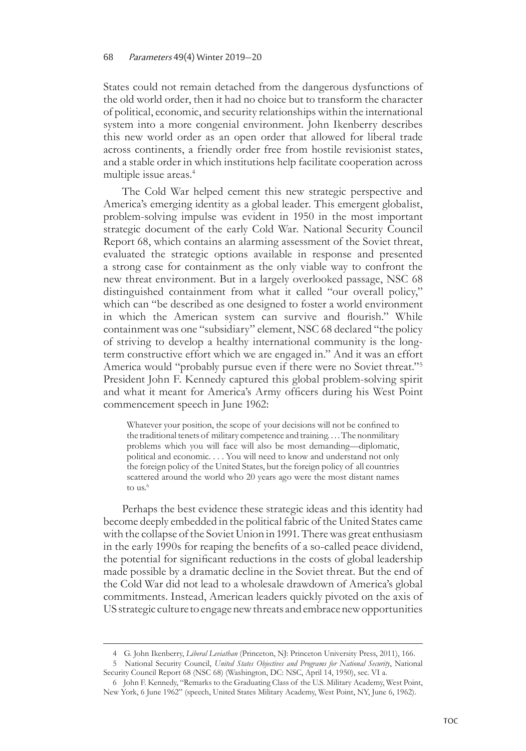States could not remain detached from the dangerous dysfunctions of the old world order, then it had no choice but to transform the character of political, economic, and security relationships within the international system into a more congenial environment. John Ikenberry describes this new world order as an open order that allowed for liberal trade across continents, a friendly order free from hostile revisionist states, and a stable order in which institutions help facilitate cooperation across multiple issue areas.<sup>4</sup>

The Cold War helped cement this new strategic perspective and America's emerging identity as a global leader. This emergent globalist, problem-solving impulse was evident in 1950 in the most important strategic document of the early Cold War. National Security Council Report 68, which contains an alarming assessment of the Soviet threat, evaluated the strategic options available in response and presented a strong case for containment as the only viable way to confront the new threat environment. But in a largely overlooked passage, NSC 68 distinguished containment from what it called "our overall policy," which can "be described as one designed to foster a world environment in which the American system can survive and flourish." While containment was one "subsidiary" element, NSC 68 declared "the policy of striving to develop a healthy international community is the longterm constructive effort which we are engaged in." And it was an effort America would "probably pursue even if there were no Soviet threat."5 President John F. Kennedy captured this global problem-solving spirit and what it meant for America's Army officers during his West Point commencement speech in June 1962:

Whatever your position, the scope of your decisions will not be confined to the traditional tenets of military competence and training. . . . The nonmilitary problems which you will face will also be most demanding—diplomatic, political and economic. . . . You will need to know and understand not only the foreign policy of the United States, but the foreign policy of all countries scattered around the world who 20 years ago were the most distant names to us.<sup>6</sup>

Perhaps the best evidence these strategic ideas and this identity had become deeply embedded in the political fabric of the United States came with the collapse of the Soviet Union in 1991. There was great enthusiasm in the early 1990s for reaping the benefits of a so-called peace dividend, the potential for significant reductions in the costs of global leadership made possible by a dramatic decline in the Soviet threat. But the end of the Cold War did not lead to a wholesale drawdown of America's global commitments. Instead, American leaders quickly pivoted on the axis of US strategic culture to engage new threats and embrace new opportunities

<sup>4</sup> G. John Ikenberry, *Liberal Leviathan* (Princeton, NJ: Princeton University Press, 2011), 166.

<sup>5</sup> National Security Council, *United States Objectives and Programs for National Security*, National Security Council Report 68 (NSC 68) (Washington, DC: NSC, April 14, 1950), sec. VI a.

<sup>6</sup> John F. Kennedy, "Remarks to the Graduating Class of the U.S. Military Academy, West Point, New York, 6 June 1962" (speech, United States Military Academy, West Point, NY, June 6, 1962).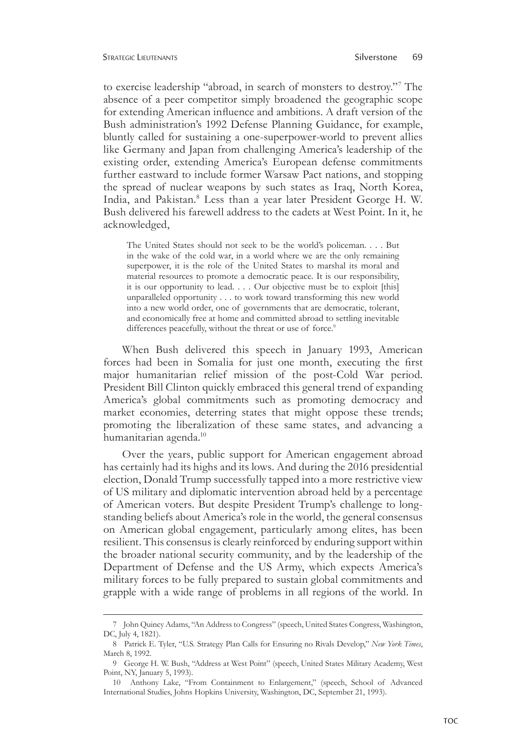to exercise leadership "abroad, in search of monsters to destroy."7 The absence of a peer competitor simply broadened the geographic scope for extending American influence and ambitions. A draft version of the Bush administration's 1992 Defense Planning Guidance, for example, bluntly called for sustaining a one-superpower-world to prevent allies like Germany and Japan from challenging America's leadership of the existing order, extending America's European defense commitments further eastward to include former Warsaw Pact nations, and stopping the spread of nuclear weapons by such states as Iraq, North Korea, India, and Pakistan.<sup>8</sup> Less than a year later President George H. W. Bush delivered his farewell address to the cadets at West Point. In it, he acknowledged,

The United States should not seek to be the world's policeman. . . . But in the wake of the cold war, in a world where we are the only remaining superpower, it is the role of the United States to marshal its moral and material resources to promote a democratic peace. It is our responsibility, it is our opportunity to lead. . . . Our objective must be to exploit [this] unparalleled opportunity . . . to work toward transforming this new world into a new world order, one of governments that are democratic, tolerant, and economically free at home and committed abroad to settling inevitable differences peacefully, without the threat or use of force.<sup>9</sup>

When Bush delivered this speech in January 1993, American forces had been in Somalia for just one month, executing the first major humanitarian relief mission of the post-Cold War period. President Bill Clinton quickly embraced this general trend of expanding America's global commitments such as promoting democracy and market economies, deterring states that might oppose these trends; promoting the liberalization of these same states, and advancing a humanitarian agenda.10

Over the years, public support for American engagement abroad has certainly had its highs and its lows. And during the 2016 presidential election, Donald Trump successfully tapped into a more restrictive view of US military and diplomatic intervention abroad held by a percentage of American voters. But despite President Trump's challenge to longstanding beliefs about America's role in the world, the general consensus on American global engagement, particularly among elites, has been resilient. This consensus is clearly reinforced by enduring support within the broader national security community, and by the leadership of the Department of Defense and the US Army, which expects America's military forces to be fully prepared to sustain global commitments and grapple with a wide range of problems in all regions of the world. In

<sup>7</sup> John Quincy Adams, "An Address to Congress" (speech, United States Congress, Washington, DC, July 4, 1821).

<sup>8</sup> Patrick E. Tyler, "U.S. Strategy Plan Calls for Ensuring no Rivals Develop," *New York Times*, March 8, 1992.

<sup>9</sup> George H. W. Bush, "Address at West Point" (speech, United States Military Academy, West Point, NY, January 5, 1993).

<sup>10</sup> Anthony Lake, "From Containment to Enlargement," (speech, School of Advanced International Studies, Johns Hopkins University, Washington, DC, September 21, 1993).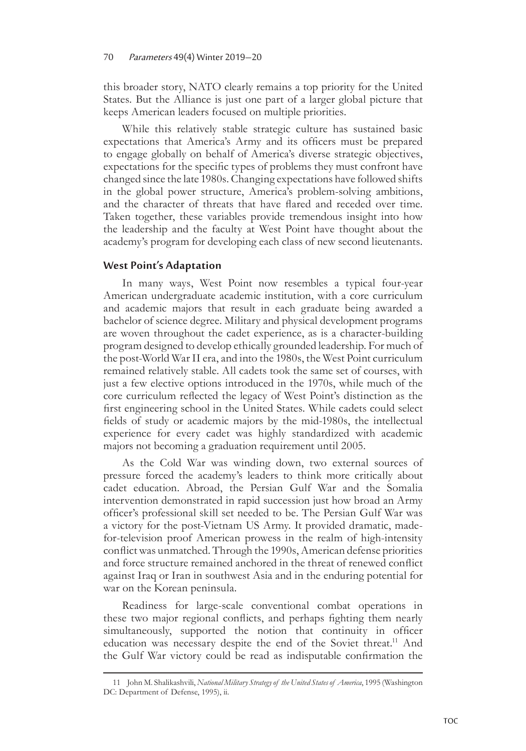this broader story, NATO clearly remains a top priority for the United States. But the Alliance is just one part of a larger global picture that keeps American leaders focused on multiple priorities.

While this relatively stable strategic culture has sustained basic expectations that America's Army and its officers must be prepared to engage globally on behalf of America's diverse strategic objectives, expectations for the specific types of problems they must confront have changed since the late 1980s. Changing expectations have followed shifts in the global power structure, America's problem-solving ambitions, and the character of threats that have flared and receded over time. Taken together, these variables provide tremendous insight into how the leadership and the faculty at West Point have thought about the academy's program for developing each class of new second lieutenants.

## **West Point's Adaptation**

In many ways, West Point now resembles a typical four-year American undergraduate academic institution, with a core curriculum and academic majors that result in each graduate being awarded a bachelor of science degree. Military and physical development programs are woven throughout the cadet experience, as is a character-building program designed to develop ethically grounded leadership. For much of the post-World War II era, and into the 1980s, the West Point curriculum remained relatively stable. All cadets took the same set of courses, with just a few elective options introduced in the 1970s, while much of the core curriculum reflected the legacy of West Point's distinction as the first engineering school in the United States. While cadets could select fields of study or academic majors by the mid-1980s, the intellectual experience for every cadet was highly standardized with academic majors not becoming a graduation requirement until 2005.

As the Cold War was winding down, two external sources of pressure forced the academy's leaders to think more critically about cadet education. Abroad, the Persian Gulf War and the Somalia intervention demonstrated in rapid succession just how broad an Army officer's professional skill set needed to be. The Persian Gulf War was a victory for the post-Vietnam US Army. It provided dramatic, madefor-television proof American prowess in the realm of high-intensity conflict was unmatched. Through the 1990s, American defense priorities and force structure remained anchored in the threat of renewed conflict against Iraq or Iran in southwest Asia and in the enduring potential for war on the Korean peninsula.

Readiness for large-scale conventional combat operations in these two major regional conflicts, and perhaps fighting them nearly simultaneously, supported the notion that continuity in officer education was necessary despite the end of the Soviet threat.<sup>11</sup> And the Gulf War victory could be read as indisputable confirmation the

<sup>11</sup> John M. Shalikashvili, *National Military Strategy of the United States of America*, 1995 (Washington DC: Department of Defense, 1995), ii.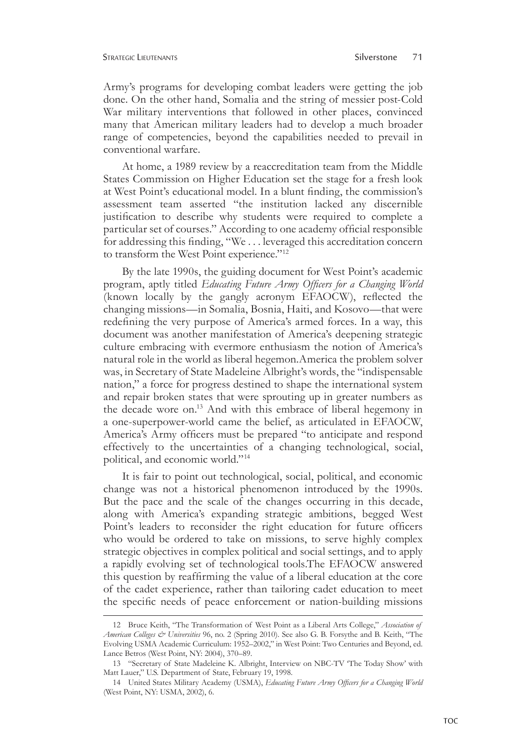#### STRATEGIC LIEUTENANTS STRATEGIC LIEUTENANTS

Army's programs for developing combat leaders were getting the job done. On the other hand, Somalia and the string of messier post-Cold War military interventions that followed in other places, convinced many that American military leaders had to develop a much broader range of competencies, beyond the capabilities needed to prevail in conventional warfare.

At home, a 1989 review by a reaccreditation team from the Middle States Commission on Higher Education set the stage for a fresh look at West Point's educational model. In a blunt finding, the commission's assessment team asserted "the institution lacked any discernible justification to describe why students were required to complete a particular set of courses." According to one academy official responsible for addressing this finding, "We . . . leveraged this accreditation concern to transform the West Point experience."<sup>12</sup>

By the late 1990s, the guiding document for West Point's academic program, aptly titled *Educating Future Army Officers for a Changing World* (known locally by the gangly acronym EFAOCW), reflected the changing missions—in Somalia, Bosnia, Haiti, and Kosovo—that were redefining the very purpose of America's armed forces. In a way, this document was another manifestation of America's deepening strategic culture embracing with evermore enthusiasm the notion of America's natural role in the world as liberal hegemon.America the problem solver was, in Secretary of State Madeleine Albright's words, the "indispensable nation," a force for progress destined to shape the international system and repair broken states that were sprouting up in greater numbers as the decade wore on.<sup>13</sup> And with this embrace of liberal hegemony in a one-superpower-world came the belief, as articulated in EFAOCW, America's Army officers must be prepared "to anticipate and respond effectively to the uncertainties of a changing technological, social, political, and economic world."14

It is fair to point out technological, social, political, and economic change was not a historical phenomenon introduced by the 1990s. But the pace and the scale of the changes occurring in this decade, along with America's expanding strategic ambitions, begged West Point's leaders to reconsider the right education for future officers who would be ordered to take on missions, to serve highly complex strategic objectives in complex political and social settings, and to apply a rapidly evolving set of technological tools.The EFAOCW answered this question by reaffirming the value of a liberal education at the core of the cadet experience, rather than tailoring cadet education to meet the specific needs of peace enforcement or nation-building missions

<sup>12</sup> Bruce Keith, "The Transformation of West Point as a Liberal Arts College," *Association of American Colleges & Universities* 96, no. 2 (Spring 2010). See also G. B. Forsythe and B. Keith, "The Evolving USMA Academic Curriculum: 1952–2002," in West Point: Two Centuries and Beyond, ed. Lance Betros (West Point, NY: 2004), 370–89.

<sup>13      &</sup>quot;Secretary of State Madeleine K. Albright, Interview on NBC-TV 'The Today Show' with Matt Lauer," U.S. Department of State, February 19, 1998.

<sup>14</sup> United States Military Academy (USMA), *Educating Future Army Officers for a Changing World* (West Point, NY: USMA, 2002), 6.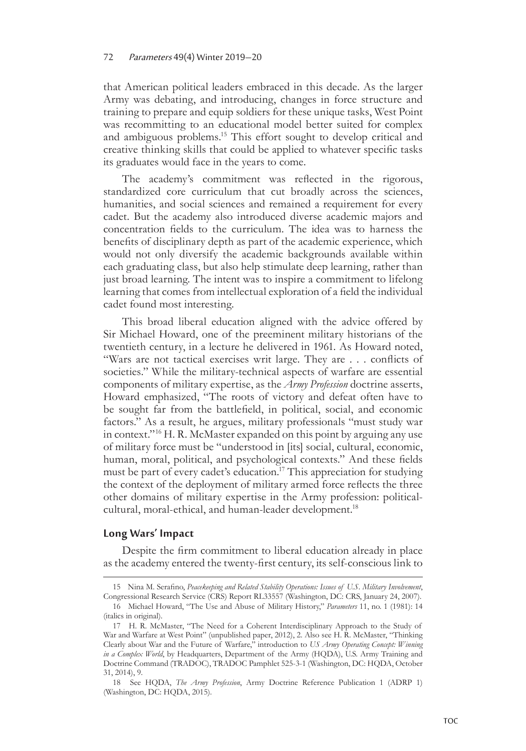that American political leaders embraced in this decade. As the larger Army was debating, and introducing, changes in force structure and training to prepare and equip soldiers for these unique tasks, West Point was recommitting to an educational model better suited for complex and ambiguous problems.15 This effort sought to develop critical and creative thinking skills that could be applied to whatever specific tasks its graduates would face in the years to come.

The academy's commitment was reflected in the rigorous, standardized core curriculum that cut broadly across the sciences, humanities, and social sciences and remained a requirement for every cadet. But the academy also introduced diverse academic majors and concentration fields to the curriculum. The idea was to harness the benefits of disciplinary depth as part of the academic experience, which would not only diversify the academic backgrounds available within each graduating class, but also help stimulate deep learning, rather than just broad learning. The intent was to inspire a commitment to lifelong learning that comes from intellectual exploration of a field the individual cadet found most interesting.

This broad liberal education aligned with the advice offered by Sir Michael Howard, one of the preeminent military historians of the twentieth century, in a lecture he delivered in 1961. As Howard noted, "Wars are not tactical exercises writ large. They are . . . conflicts of societies." While the military-technical aspects of warfare are essential components of military expertise, as the *Army Profession* doctrine asserts, Howard emphasized, "The roots of victory and defeat often have to be sought far from the battlefield, in political, social, and economic factors." As a result, he argues, military professionals "must study war in context."16 H. R. McMaster expanded on this point by arguing any use of military force must be "understood in [its] social, cultural, economic, human, moral, political, and psychological contexts." And these fields must be part of every cadet's education.<sup>17</sup> This appreciation for studying the context of the deployment of military armed force reflects the three other domains of military expertise in the Army profession: politicalcultural, moral-ethical, and human-leader development.18

## **Long Wars' Impact**

Despite the firm commitment to liberal education already in place as the academy entered the twenty-first century, its self-conscious link to

<sup>15</sup> Nina M. Serafino, *Peacekeeping and Related Stability Operations: Issues of U.S. Military Involvement*, Congressional Research Service (CRS) Report RL33557 (Washington, DC: CRS, January 24, 2007).

<sup>16</sup> Michael Howard, "The Use and Abuse of Military History," *Parameters* 11, no. 1 (1981): 14 (italics in original).

<sup>17</sup> H. R. McMaster, "The Need for a Coherent Interdisciplinary Approach to the Study of War and Warfare at West Point" (unpublished paper, 2012), 2. Also see H. R. McMaster, "Thinking Clearly about War and the Future of Warfare," introduction to *US Army Operating Concept: Winning in a Complex World*, by Headquarters, Department of the Army (HQDA), U.S. Army Training and Doctrine Command (TRADOC), TRADOC Pamphlet 525-3-1 (Washington, DC: HQDA, October 31, 2014), 9.

<sup>18</sup> See HQDA, *The Army Profession*, Army Doctrine Reference Publication 1 (ADRP 1) (Washington, DC: HQDA, 2015).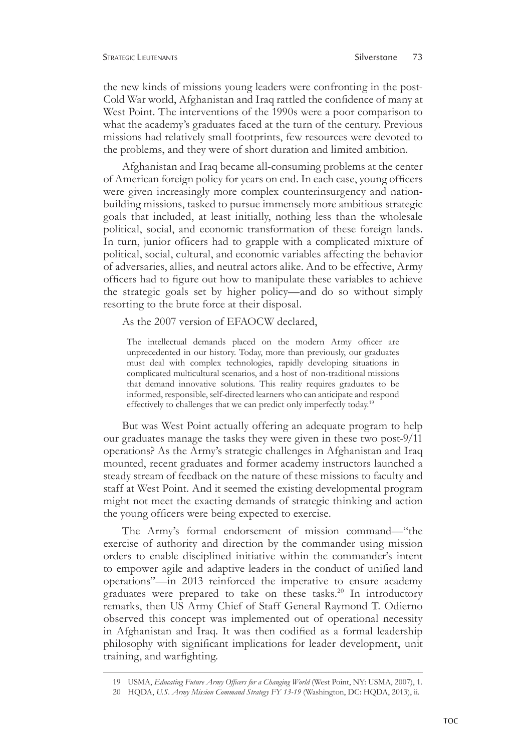#### STRATEGIC LIEUTENANTS SALLER SERVICE STRATEGIC LIEUTENANTS

the new kinds of missions young leaders were confronting in the post-Cold War world, Afghanistan and Iraq rattled the confidence of many at West Point. The interventions of the 1990s were a poor comparison to what the academy's graduates faced at the turn of the century. Previous missions had relatively small footprints, few resources were devoted to the problems, and they were of short duration and limited ambition.

Afghanistan and Iraq became all-consuming problems at the center of American foreign policy for years on end. In each case, young officers were given increasingly more complex counterinsurgency and nationbuilding missions, tasked to pursue immensely more ambitious strategic goals that included, at least initially, nothing less than the wholesale political, social, and economic transformation of these foreign lands. In turn, junior officers had to grapple with a complicated mixture of political, social, cultural, and economic variables affecting the behavior of adversaries, allies, and neutral actors alike. And to be effective, Army officers had to figure out how to manipulate these variables to achieve the strategic goals set by higher policy—and do so without simply resorting to the brute force at their disposal.

#### As the 2007 version of EFAOCW declared,

The intellectual demands placed on the modern Army officer are unprecedented in our history. Today, more than previously, our graduates must deal with complex technologies, rapidly developing situations in complicated multicultural scenarios, and a host of non-traditional missions that demand innovative solutions. This reality requires graduates to be informed, responsible, self-directed learners who can anticipate and respond effectively to challenges that we can predict only imperfectly today.19

But was West Point actually offering an adequate program to help our graduates manage the tasks they were given in these two post-9/11 operations? As the Army's strategic challenges in Afghanistan and Iraq mounted, recent graduates and former academy instructors launched a steady stream of feedback on the nature of these missions to faculty and staff at West Point. And it seemed the existing developmental program might not meet the exacting demands of strategic thinking and action the young officers were being expected to exercise.

The Army's formal endorsement of mission command—"the exercise of authority and direction by the commander using mission orders to enable disciplined initiative within the commander's intent to empower agile and adaptive leaders in the conduct of unified land operations"—in 2013 reinforced the imperative to ensure academy graduates were prepared to take on these tasks.<sup>20</sup> In introductory remarks, then US Army Chief of Staff General Raymond T. Odierno observed this concept was implemented out of operational necessity in Afghanistan and Iraq. It was then codified as a formal leadership philosophy with significant implications for leader development, unit training, and warfighting.

<sup>19</sup> USMA, *Educating Future Army Officers for a Changing World* (West Point, NY: USMA, 2007), 1.

<sup>20</sup> HQDA, *U.S. Army Mission Command Strategy FY 13-19* (Washington, DC: HQDA, 2013), ii.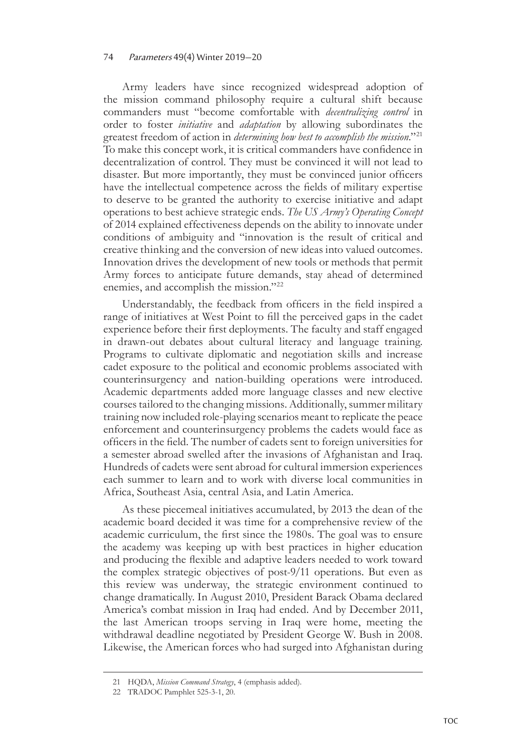#### 74 Parameters 49(4) Winter 2019–20

Army leaders have since recognized widespread adoption of the mission command philosophy require a cultural shift because commanders must "become comfortable with *decentralizing control* in order to foster *initiative* and *adaptation* by allowing subordinates the greatest freedom of action in *determining how best to accomplish the mission*."21 To make this concept work, it is critical commanders have confidence in decentralization of control. They must be convinced it will not lead to disaster. But more importantly, they must be convinced junior officers have the intellectual competence across the fields of military expertise to deserve to be granted the authority to exercise initiative and adapt operations to best achieve strategic ends. *The US Army's Operating Concept* of 2014 explained effectiveness depends on the ability to innovate under conditions of ambiguity and "innovation is the result of critical and creative thinking and the conversion of new ideas into valued outcomes. Innovation drives the development of new tools or methods that permit Army forces to anticipate future demands, stay ahead of determined enemies, and accomplish the mission."<sup>22</sup>

Understandably, the feedback from officers in the field inspired a range of initiatives at West Point to fill the perceived gaps in the cadet experience before their first deployments. The faculty and staff engaged in drawn-out debates about cultural literacy and language training. Programs to cultivate diplomatic and negotiation skills and increase cadet exposure to the political and economic problems associated with counterinsurgency and nation-building operations were introduced. Academic departments added more language classes and new elective courses tailored to the changing missions. Additionally, summer military training now included role-playing scenarios meant to replicate the peace enforcement and counterinsurgency problems the cadets would face as officers in the field. The number of cadets sent to foreign universities for a semester abroad swelled after the invasions of Afghanistan and Iraq. Hundreds of cadets were sent abroad for cultural immersion experiences each summer to learn and to work with diverse local communities in Africa, Southeast Asia, central Asia, and Latin America.

As these piecemeal initiatives accumulated, by 2013 the dean of the academic board decided it was time for a comprehensive review of the academic curriculum, the first since the 1980s. The goal was to ensure the academy was keeping up with best practices in higher education and producing the flexible and adaptive leaders needed to work toward the complex strategic objectives of post-9/11 operations. But even as this review was underway, the strategic environment continued to change dramatically. In August 2010, President Barack Obama declared America's combat mission in Iraq had ended. And by December 2011, the last American troops serving in Iraq were home, meeting the withdrawal deadline negotiated by President George W. Bush in 2008. Likewise, the American forces who had surged into Afghanistan during

<sup>21</sup> HQDA, *Mission Command Strategy*, 4 (emphasis added).

<sup>22</sup> TRADOC Pamphlet 525-3-1, 20.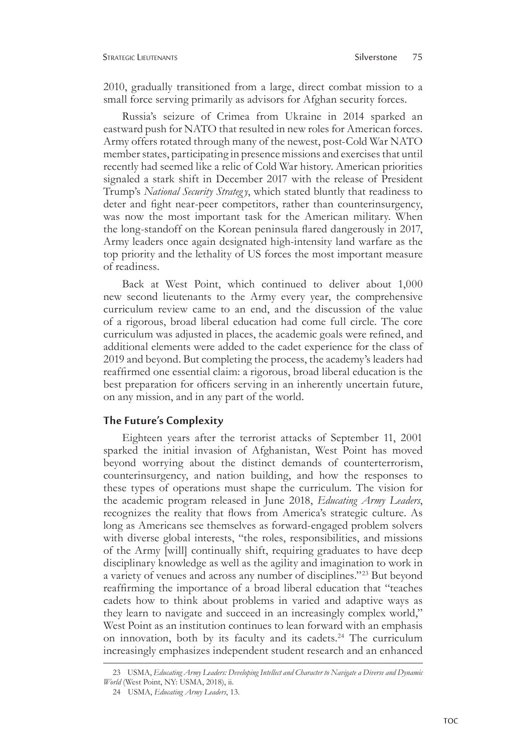2010, gradually transitioned from a large, direct combat mission to a small force serving primarily as advisors for Afghan security forces.

Russia's seizure of Crimea from Ukraine in 2014 sparked an eastward push for NATO that resulted in new roles for American forces. Army offers rotated through many of the newest, post-Cold War NATO member states, participating in presence missions and exercises that until recently had seemed like a relic of Cold War history. American priorities signaled a stark shift in December 2017 with the release of President Trump's *National Security Strateg y*, which stated bluntly that readiness to deter and fight near-peer competitors, rather than counterinsurgency, was now the most important task for the American military. When the long-standoff on the Korean peninsula flared dangerously in 2017, Army leaders once again designated high-intensity land warfare as the top priority and the lethality of US forces the most important measure of readiness.

Back at West Point, which continued to deliver about 1,000 new second lieutenants to the Army every year, the comprehensive curriculum review came to an end, and the discussion of the value of a rigorous, broad liberal education had come full circle. The core curriculum was adjusted in places, the academic goals were refined, and additional elements were added to the cadet experience for the class of 2019 and beyond. But completing the process, the academy's leaders had reaffirmed one essential claim: a rigorous, broad liberal education is the best preparation for officers serving in an inherently uncertain future, on any mission, and in any part of the world.

## **The Future's Complexity**

Eighteen years after the terrorist attacks of September 11, 2001 sparked the initial invasion of Afghanistan, West Point has moved beyond worrying about the distinct demands of counterterrorism, counterinsurgency, and nation building, and how the responses to these types of operations must shape the curriculum. The vision for the academic program released in June 2018, *Educating Army Leaders*, recognizes the reality that flows from America's strategic culture. As long as Americans see themselves as forward-engaged problem solvers with diverse global interests, "the roles, responsibilities, and missions of the Army [will] continually shift, requiring graduates to have deep disciplinary knowledge as well as the agility and imagination to work in a variety of venues and across any number of disciplines."23 But beyond reaffirming the importance of a broad liberal education that "teaches cadets how to think about problems in varied and adaptive ways as they learn to navigate and succeed in an increasingly complex world," West Point as an institution continues to lean forward with an emphasis on innovation, both by its faculty and its cadets.<sup>24</sup> The curriculum increasingly emphasizes independent student research and an enhanced

<sup>23</sup> USMA, *Educating Army Leaders: Developing Intellect and Character to Navigate a Diverse and Dynamic World* (West Point, NY: USMA, 2018), ii.

<sup>24</sup> USMA, *Educating Army Leaders*, 13.